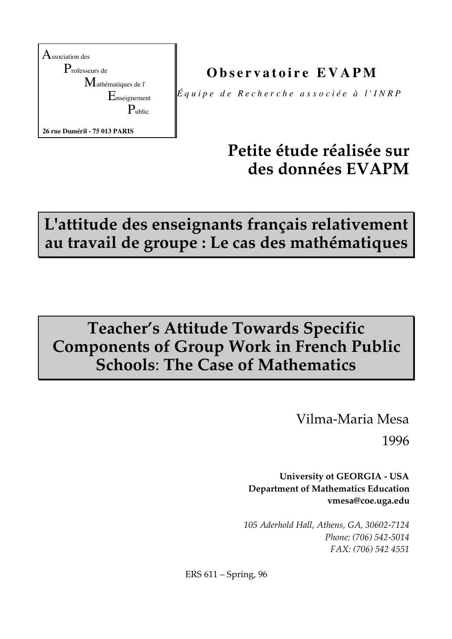

**O b s e r v a t o i r e E V A P M**

 $\not\parallel \! \acute{E}$ quipe de Recherche associée à l'INRP

# **Petite étude réalisée sur des données EVAPM**

**L'attitude des enseignants français relativement au travail de groupe : Le cas des mathématiques**

# **Teacher's Attitude Towards Specific Components of Group Work in French Public Schools**: **The Case of Mathematics**

Vilma-Maria Mesa

1996

**University ot GEORGIA - USA Department of Mathematics Education vmesa@coe.uga.edu**

*105 Aderhold Hall, Athens, GA, 30602-7124 Phone: (706) 542-5014 FAX: (706) 542 4551*

ERS 611 – Spring, 96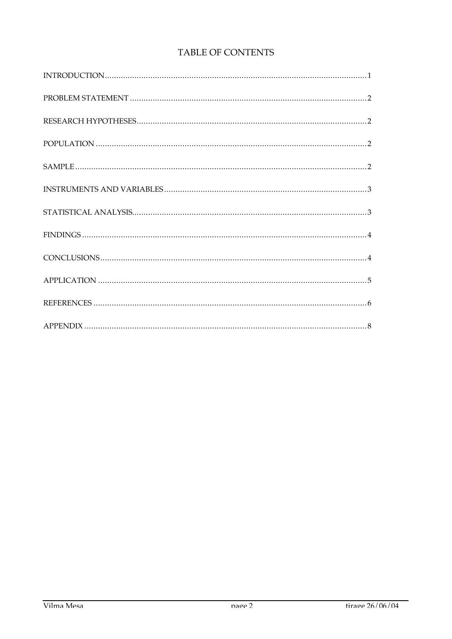## TABLE OF CONTENTS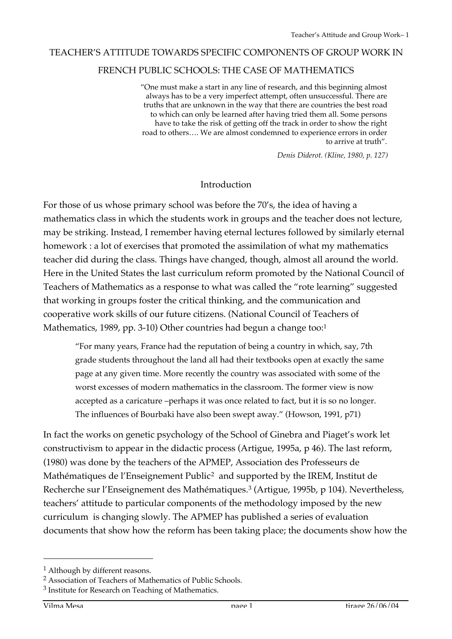#### TEACHER'S ATTITUDE TOWARDS SPECIFIC COMPONENTS OF GROUP WORK IN

#### FRENCH PUBLIC SCHOOLS: THE CASE OF MATHEMATICS

"One must make a start in any line of research, and this beginning almost always has to be a very imperfect attempt, often unsuccessful. There are truths that are unknown in the way that there are countries the best road to which can only be learned after having tried them all. Some persons have to take the risk of getting off the track in order to show the right road to others…. We are almost condemned to experience errors in order to arrive at truth".

*Denis Diderot. (Kline, 1980, p. 127)*

#### Introduction

For those of us whose primary school was before the 70's, the idea of having a mathematics class in which the students work in groups and the teacher does not lecture, may be striking. Instead, I remember having eternal lectures followed by similarly eternal homework : a lot of exercises that promoted the assimilation of what my mathematics teacher did during the class. Things have changed, though, almost all around the world. Here in the United States the last curriculum reform promoted by the National Council of Teachers of Mathematics as a response to what was called the "rote learning" suggested that working in groups foster the critical thinking, and the communication and cooperative work skills of our future citizens. (National Council of Teachers of Mathematics, 1989, pp. 3-10) Other countries had begun a change too:<sup>1</sup>

"For many years, France had the reputation of being a country in which, say, 7th grade students throughout the land all had their textbooks open at exactly the same page at any given time. More recently the country was associated with some of the worst excesses of modern mathematics in the classroom. The former view is now accepted as a caricature –perhaps it was once related to fact, but it is so no longer. The influences of Bourbaki have also been swept away." (Howson, 1991, p71)

In fact the works on genetic psychology of the School of Ginebra and Piaget's work let constructivism to appear in the didactic process (Artigue, 1995a, p 46). The last reform, (1980) was done by the teachers of the APMEP, Association des Professeurs de Mathématiques de l'Enseignement Public2 and supported by the IREM, Institut de Recherche sur l'Enseignement des Mathématiques.3 (Artigue, 1995b, p 104). Nevertheless, teachers' attitude to particular components of the methodology imposed by the new curriculum is changing slowly. The APMEP has published a series of evaluation documents that show how the reform has been taking place; the documents show how the

 $\overline{a}$ 

<sup>1</sup> Although by different reasons.

<sup>2</sup> Association of Teachers of Mathematics of Public Schools.

<sup>3</sup> Institute for Research on Teaching of Mathematics.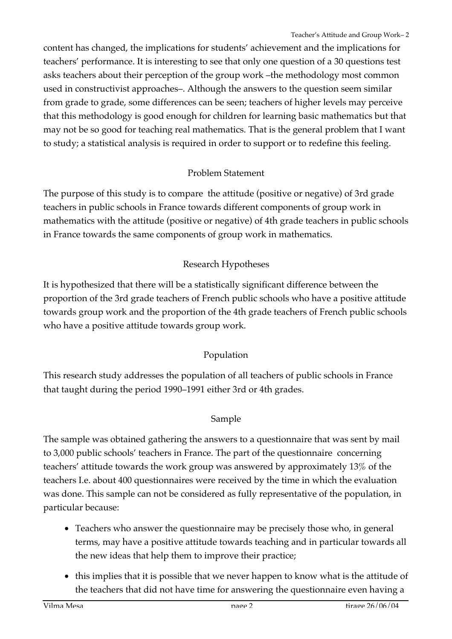content has changed, the implications for students' achievement and the implications for teachers' performance. It is interesting to see that only one question of a 30 questions test asks teachers about their perception of the group work –the methodology most common used in constructivist approaches–. Although the answers to the question seem similar from grade to grade, some differences can be seen; teachers of higher levels may perceive that this methodology is good enough for children for learning basic mathematics but that may not be so good for teaching real mathematics. That is the general problem that I want to study; a statistical analysis is required in order to support or to redefine this feeling.

# Problem Statement

The purpose of this study is to compare the attitude (positive or negative) of 3rd grade teachers in public schools in France towards different components of group work in mathematics with the attitude (positive or negative) of 4th grade teachers in public schools in France towards the same components of group work in mathematics.

# Research Hypotheses

It is hypothesized that there will be a statistically significant difference between the proportion of the 3rd grade teachers of French public schools who have a positive attitude towards group work and the proportion of the 4th grade teachers of French public schools who have a positive attitude towards group work.

# Population

This research study addresses the population of all teachers of public schools in France that taught during the period 1990–1991 either 3rd or 4th grades.

# Sample

The sample was obtained gathering the answers to a questionnaire that was sent by mail to 3,000 public schools' teachers in France. The part of the questionnaire concerning teachers' attitude towards the work group was answered by approximately 13% of the teachers I.e. about 400 questionnaires were received by the time in which the evaluation was done. This sample can not be considered as fully representative of the population, in particular because:

- Teachers who answer the questionnaire may be precisely those who, in general terms, may have a positive attitude towards teaching and in particular towards all the new ideas that help them to improve their practice;
- this implies that it is possible that we never happen to know what is the attitude of the teachers that did not have time for answering the questionnaire even having a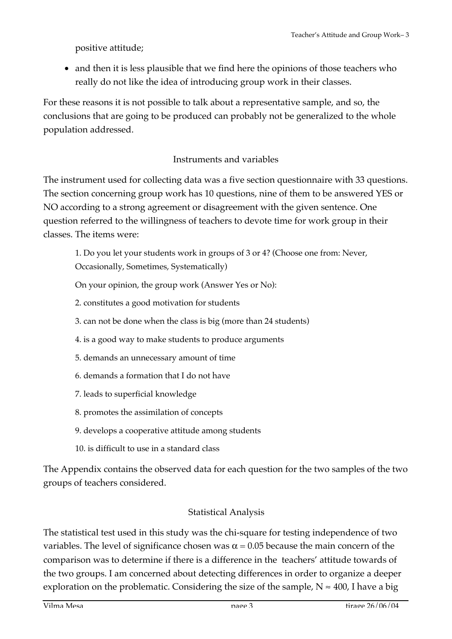positive attitude;

• and then it is less plausible that we find here the opinions of those teachers who really do not like the idea of introducing group work in their classes.

For these reasons it is not possible to talk about a representative sample, and so, the conclusions that are going to be produced can probably not be generalized to the whole population addressed.

## Instruments and variables

The instrument used for collecting data was a five section questionnaire with 33 questions. The section concerning group work has 10 questions, nine of them to be answered YES or NO according to a strong agreement or disagreement with the given sentence. One question referred to the willingness of teachers to devote time for work group in their classes. The items were:

1. Do you let your students work in groups of 3 or 4? (Choose one from: Never, Occasionally, Sometimes, Systematically)

On your opinion, the group work (Answer Yes or No):

- 2. constitutes a good motivation for students
- 3. can not be done when the class is big (more than 24 students)
- 4. is a good way to make students to produce arguments
- 5. demands an unnecessary amount of time
- 6. demands a formation that I do not have
- 7. leads to superficial knowledge
- 8. promotes the assimilation of concepts
- 9. develops a cooperative attitude among students
- 10. is difficult to use in a standard class

The Appendix contains the observed data for each question for the two samples of the two groups of teachers considered.

### Statistical Analysis

The statistical test used in this study was the chi-square for testing independence of two variables. The level of significance chosen was  $\alpha = 0.05$  because the main concern of the comparison was to determine if there is a difference in the teachers' attitude towards of the two groups. I am concerned about detecting differences in order to organize a deeper exploration on the problematic. Considering the size of the sample,  $N \approx 400$ , I have a big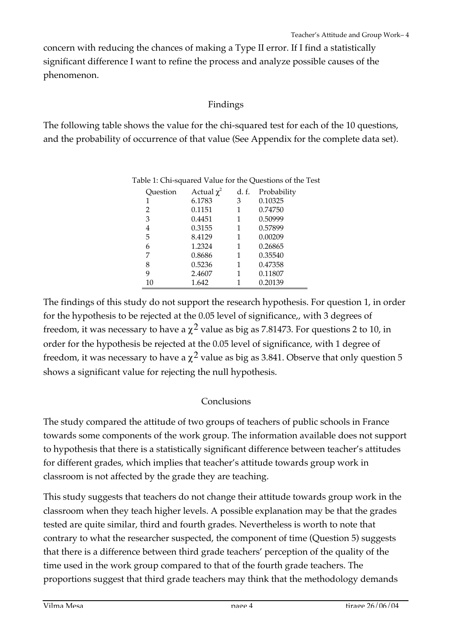concern with reducing the chances of making a Type II error. If I find a statistically significant difference I want to refine the process and analyze possible causes of the phenomenon.

### Findings

The following table shows the value for the chi-squared test for each of the 10 questions, and the probability of occurrence of that value (See Appendix for the complete data set).

| Question | Actual $\chi^2$ | d. f. | Probability |
|----------|-----------------|-------|-------------|
| 1        | 6.1783          | 3     | 0.10325     |
| 2        | 0.1151          | 1     | 0.74750     |
| 3        | 0.4451          | 1     | 0.50999     |
| 4        | 0.3155          | 1     | 0.57899     |
| 5        | 8.4129          | 1     | 0.00209     |
| 6        | 1.2324          | 1     | 0.26865     |
| 7        | 0.8686          | 1     | 0.35540     |
| 8        | 0.5236          | 1     | 0.47358     |
| 9        | 2.4607          | 1     | 0.11807     |
| 10       | 1.642           |       | 0.20139     |
|          |                 |       |             |

| Table 1: Chi-squared Value for the Questions of the Test |  |  |
|----------------------------------------------------------|--|--|
|                                                          |  |  |

The findings of this study do not support the research hypothesis. For question 1, in order for the hypothesis to be rejected at the 0.05 level of significance,, with 3 degrees of freedom, it was necessary to have a  $\chi^2$  value as big as 7.81473. For questions 2 to 10, in order for the hypothesis be rejected at the 0.05 level of significance, with 1 degree of freedom, it was necessary to have a  $\chi^2$  value as big as 3.841. Observe that only question 5 shows a significant value for rejecting the null hypothesis.

### Conclusions

The study compared the attitude of two groups of teachers of public schools in France towards some components of the work group. The information available does not support to hypothesis that there is a statistically significant difference between teacher's attitudes for different grades, which implies that teacher's attitude towards group work in classroom is not affected by the grade they are teaching.

This study suggests that teachers do not change their attitude towards group work in the classroom when they teach higher levels. A possible explanation may be that the grades tested are quite similar, third and fourth grades. Nevertheless is worth to note that contrary to what the researcher suspected, the component of time (Question 5) suggests that there is a difference between third grade teachers' perception of the quality of the time used in the work group compared to that of the fourth grade teachers. The proportions suggest that third grade teachers may think that the methodology demands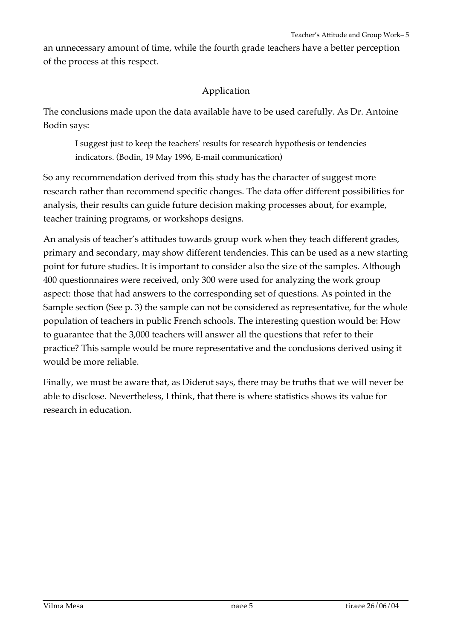an unnecessary amount of time, while the fourth grade teachers have a better perception of the process at this respect.

### Application

The conclusions made upon the data available have to be used carefully. As Dr. Antoine Bodin says:

I suggest just to keep the teachers' results for research hypothesis or tendencies indicators. (Bodin, 19 May 1996, E-mail communication)

So any recommendation derived from this study has the character of suggest more research rather than recommend specific changes. The data offer different possibilities for analysis, their results can guide future decision making processes about, for example, teacher training programs, or workshops designs.

An analysis of teacher's attitudes towards group work when they teach different grades, primary and secondary, may show different tendencies. This can be used as a new starting point for future studies. It is important to consider also the size of the samples. Although 400 questionnaires were received, only 300 were used for analyzing the work group aspect: those that had answers to the corresponding set of questions. As pointed in the Sample section (See p. 3) the sample can not be considered as representative, for the whole population of teachers in public French schools. The interesting question would be: How to guarantee that the 3,000 teachers will answer all the questions that refer to their practice? This sample would be more representative and the conclusions derived using it would be more reliable.

Finally, we must be aware that, as Diderot says, there may be truths that we will never be able to disclose. Nevertheless, I think, that there is where statistics shows its value for research in education.